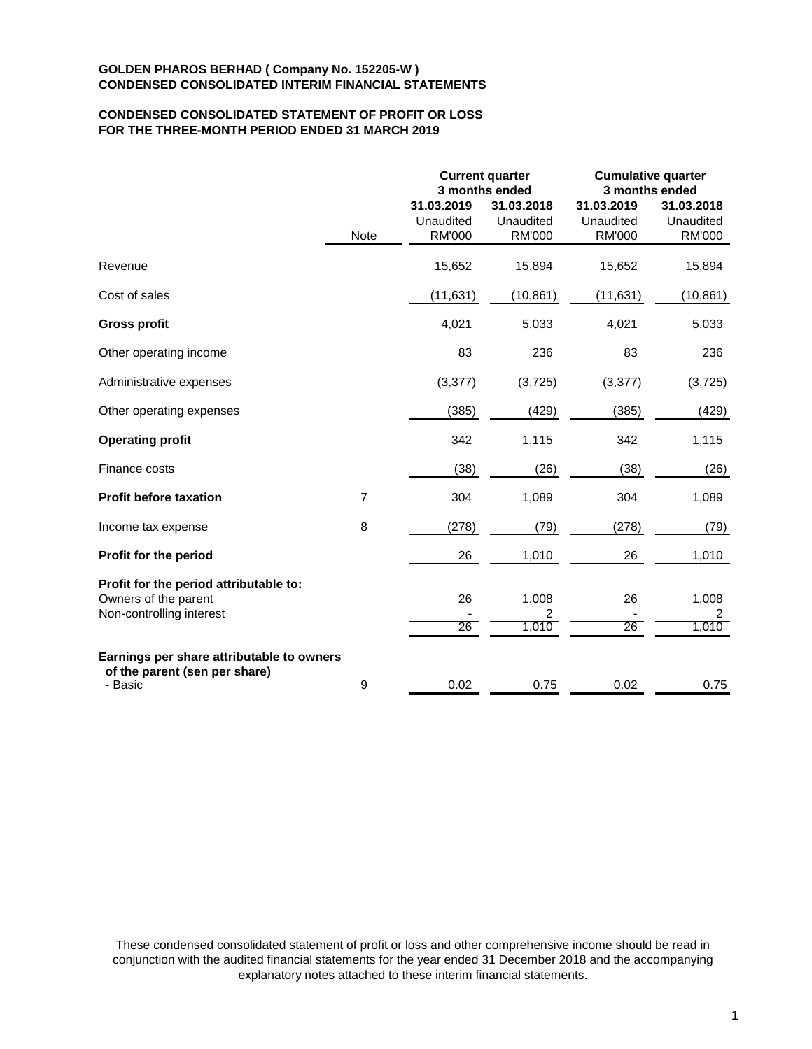# **CONDENSED CONSOLIDATED STATEMENT OF PROFIT OR LOSS FOR THE THREE-MONTH PERIOD ENDED 31 MARCH 2019**

|                                                                                            |                |                                          | <b>Current quarter</b><br>3 months ended | <b>Cumulative quarter</b><br>3 months ended |                                          |  |
|--------------------------------------------------------------------------------------------|----------------|------------------------------------------|------------------------------------------|---------------------------------------------|------------------------------------------|--|
|                                                                                            | Note           | 31.03.2019<br>Unaudited<br><b>RM'000</b> | 31.03.2018<br>Unaudited<br><b>RM'000</b> | 31.03.2019<br>Unaudited<br><b>RM'000</b>    | 31.03.2018<br>Unaudited<br><b>RM'000</b> |  |
| Revenue                                                                                    |                | 15,652                                   | 15,894                                   | 15,652                                      | 15,894                                   |  |
| Cost of sales                                                                              |                | (11, 631)                                | (10, 861)                                | (11, 631)                                   | (10, 861)                                |  |
| <b>Gross profit</b>                                                                        |                | 4,021                                    | 5,033                                    | 4,021                                       | 5,033                                    |  |
| Other operating income                                                                     |                | 83                                       | 236                                      | 83                                          | 236                                      |  |
| Administrative expenses                                                                    |                | (3, 377)                                 | (3,725)                                  | (3, 377)                                    | (3,725)                                  |  |
| Other operating expenses                                                                   |                | (385)                                    | (429)                                    | (385)                                       | (429)                                    |  |
| <b>Operating profit</b>                                                                    |                | 342                                      | 1,115                                    | 342                                         | 1,115                                    |  |
| Finance costs                                                                              |                | (38)                                     | (26)                                     | (38)                                        | (26)                                     |  |
| <b>Profit before taxation</b>                                                              | $\overline{7}$ | 304                                      | 1,089                                    | 304                                         | 1,089                                    |  |
| Income tax expense                                                                         | 8              | (278)                                    | (79)                                     | (278)                                       | (79)                                     |  |
| Profit for the period                                                                      |                | 26                                       | 1,010                                    | 26                                          | 1,010                                    |  |
| Profit for the period attributable to:<br>Owners of the parent<br>Non-controlling interest |                | 26<br>26                                 | 1,008<br>2<br>1,010                      | 26<br>26                                    | 1,008<br>2<br>1,010                      |  |
| Earnings per share attributable to owners<br>of the parent (sen per share)<br>- Basic      | 9              | 0.02                                     | 0.75                                     | 0.02                                        | 0.75                                     |  |

These condensed consolidated statement of profit or loss and other comprehensive income should be read in conjunction with the audited financial statements for the year ended 31 December 2018 and the accompanying explanatory notes attached to these interim financial statements.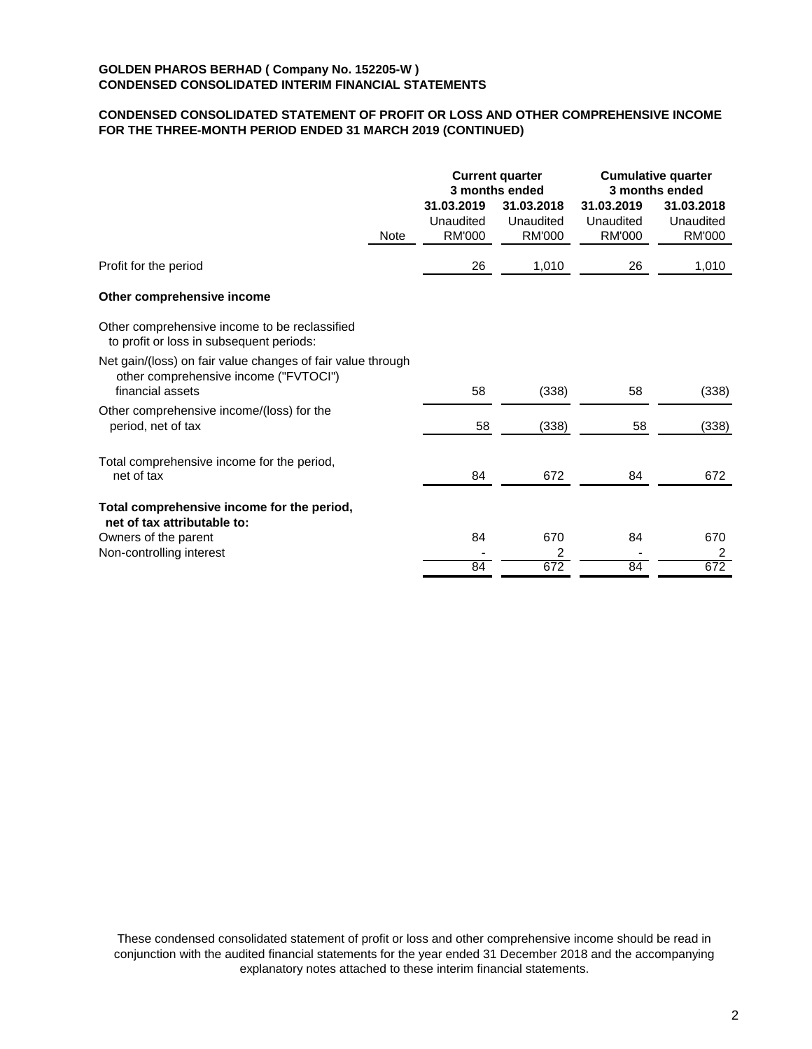# **CONDENSED CONSOLIDATED STATEMENT OF PROFIT OR LOSS AND OTHER COMPREHENSIVE INCOME FOR THE THREE-MONTH PERIOD ENDED 31 MARCH 2019 (CONTINUED)**

|                                                                                                                          |      |                                          | <b>Current quarter</b><br>3 months ended |                                          | <b>Cumulative quarter</b><br>3 months ended |
|--------------------------------------------------------------------------------------------------------------------------|------|------------------------------------------|------------------------------------------|------------------------------------------|---------------------------------------------|
|                                                                                                                          | Note | 31.03.2019<br>Unaudited<br><b>RM'000</b> | 31.03.2018<br>Unaudited<br><b>RM'000</b> | 31.03.2019<br>Unaudited<br><b>RM'000</b> | 31.03.2018<br>Unaudited<br>RM'000           |
| Profit for the period                                                                                                    |      | 26                                       | 1,010                                    | 26                                       | 1,010                                       |
| Other comprehensive income                                                                                               |      |                                          |                                          |                                          |                                             |
| Other comprehensive income to be reclassified<br>to profit or loss in subsequent periods:                                |      |                                          |                                          |                                          |                                             |
| Net gain/(loss) on fair value changes of fair value through<br>other comprehensive income ("FVTOCI")<br>financial assets |      | 58                                       | (338)                                    | 58                                       | (338)                                       |
| Other comprehensive income/(loss) for the<br>period, net of tax                                                          |      | 58                                       | (338)                                    | 58                                       | (338)                                       |
| Total comprehensive income for the period,<br>net of tax                                                                 |      | 84                                       | 672                                      | 84                                       | 672                                         |
| Total comprehensive income for the period,<br>net of tax attributable to:                                                |      |                                          |                                          |                                          |                                             |
| Owners of the parent                                                                                                     |      | 84                                       | 670                                      | 84                                       | 670                                         |
| Non-controlling interest                                                                                                 |      | 84                                       | 2<br>672                                 | 84                                       | 2<br>672                                    |
|                                                                                                                          |      |                                          |                                          |                                          |                                             |

These condensed consolidated statement of profit or loss and other comprehensive income should be read in conjunction with the audited financial statements for the year ended 31 December 2018 and the accompanying explanatory notes attached to these interim financial statements.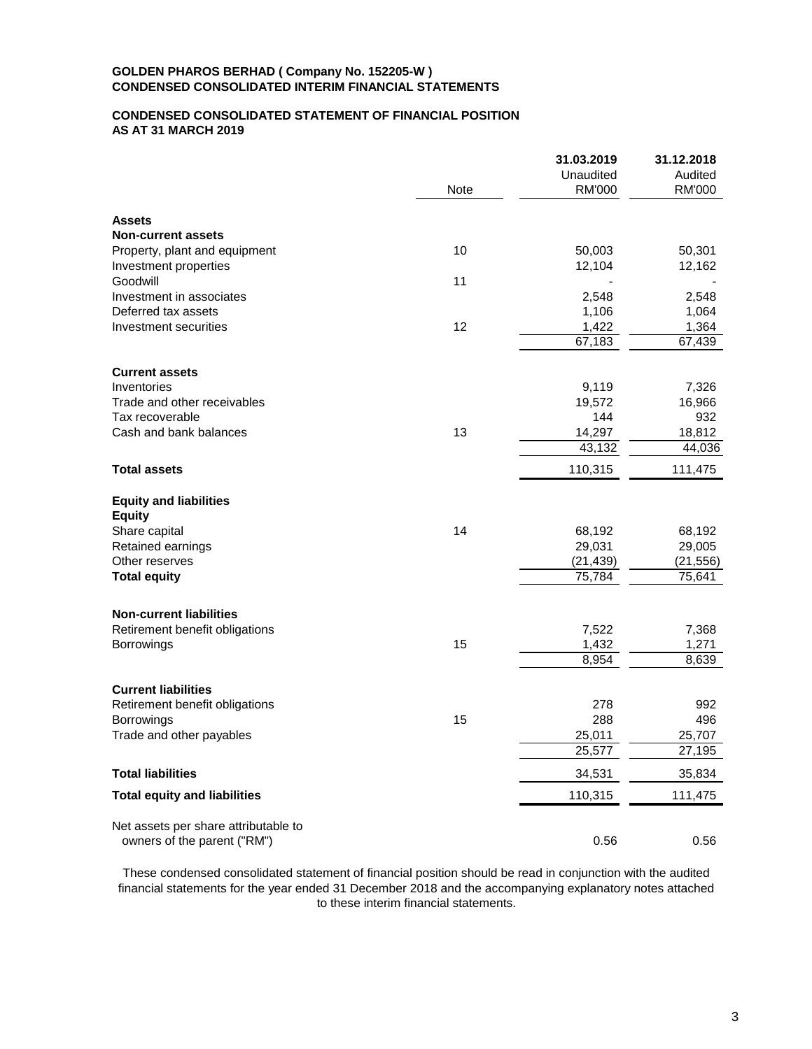# **CONDENSED CONSOLIDATED STATEMENT OF FINANCIAL POSITION AS AT 31 MARCH 2019**

|                                      |             | 31.03.2019    | 31.12.2018    |
|--------------------------------------|-------------|---------------|---------------|
|                                      |             | Unaudited     | Audited       |
|                                      | <b>Note</b> | <b>RM'000</b> | <b>RM'000</b> |
| <b>Assets</b>                        |             |               |               |
| <b>Non-current assets</b>            |             |               |               |
| Property, plant and equipment        | 10          | 50,003        | 50,301        |
| Investment properties                |             | 12,104        | 12,162        |
| Goodwill                             | 11          |               |               |
| Investment in associates             |             | 2,548         | 2,548         |
| Deferred tax assets                  |             | 1,106         | 1,064         |
| Investment securities                | 12          | 1,422         | 1,364         |
|                                      |             | 67,183        | 67,439        |
| <b>Current assets</b>                |             |               |               |
| Inventories                          |             | 9,119         | 7,326         |
| Trade and other receivables          |             | 19,572        | 16,966        |
| Tax recoverable                      |             | 144           | 932           |
| Cash and bank balances               | 13          | 14,297        | 18,812        |
|                                      |             | 43,132        | 44,036        |
| <b>Total assets</b>                  |             | 110,315       | 111,475       |
| <b>Equity and liabilities</b>        |             |               |               |
| <b>Equity</b>                        |             |               |               |
| Share capital                        | 14          | 68,192        | 68,192        |
| Retained earnings                    |             | 29,031        | 29,005        |
| Other reserves                       |             | (21, 439)     | (21, 556)     |
| <b>Total equity</b>                  |             | 75,784        | 75,641        |
| <b>Non-current liabilities</b>       |             |               |               |
| Retirement benefit obligations       |             | 7,522         | 7,368         |
| Borrowings                           | 15          | 1,432         | 1,271         |
|                                      |             | 8,954         | 8,639         |
| <b>Current liabilities</b>           |             |               |               |
| Retirement benefit obligations       |             | 278           | 992           |
| Borrowings                           | 15          | 288           | 496           |
| Trade and other payables             |             | 25,011        | 25,707        |
|                                      |             | 25,577        | 27,195        |
| <b>Total liabilities</b>             |             | 34,531        | 35,834        |
| <b>Total equity and liabilities</b>  |             | 110,315       | 111,475       |
| Net assets per share attributable to |             |               |               |
| owners of the parent ("RM")          |             | 0.56          | 0.56          |
|                                      |             |               |               |

These condensed consolidated statement of financial position should be read in conjunction with the audited financial statements for the year ended 31 December 2018 and the accompanying explanatory notes attached to these interim financial statements.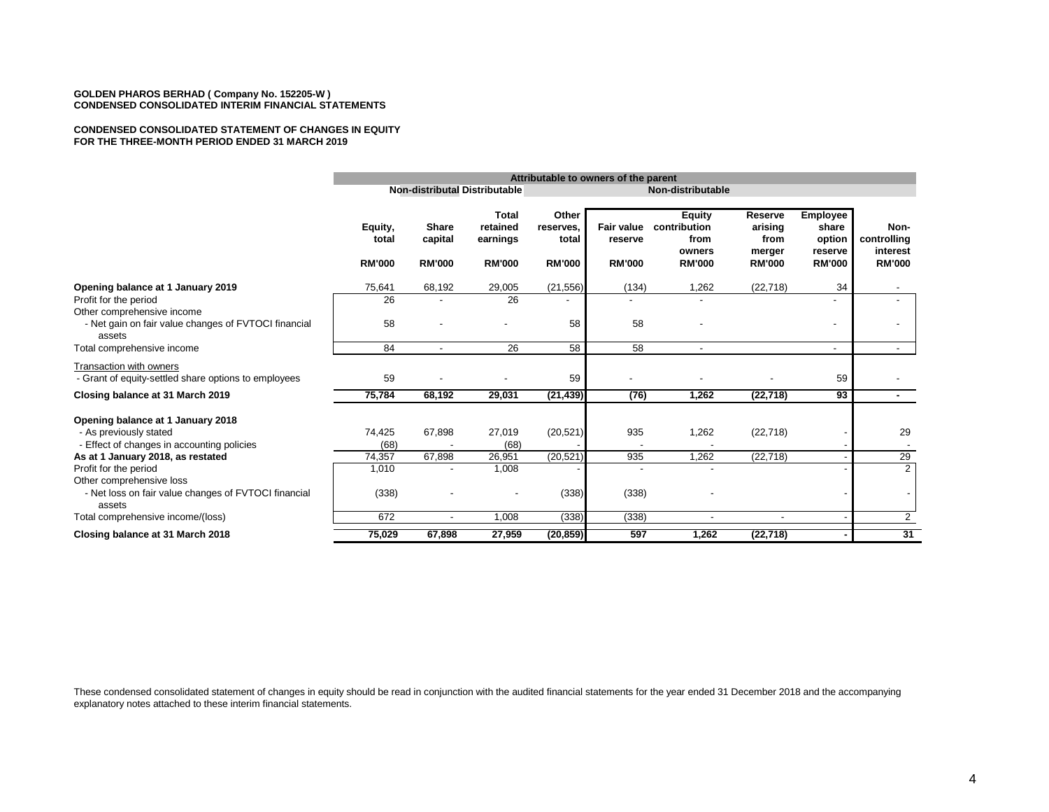#### **CONDENSED CONSOLIDATED STATEMENT OF CHANGES IN EQUITY FOR THE THREE-MONTH PERIOD ENDED 31 MARCH 2019**

|                                                                                                                     |                                   | Attributable to owners of the parent     |                                                       |                                              |                                               |                                                                  |                                                       |                                                                |                                                  |
|---------------------------------------------------------------------------------------------------------------------|-----------------------------------|------------------------------------------|-------------------------------------------------------|----------------------------------------------|-----------------------------------------------|------------------------------------------------------------------|-------------------------------------------------------|----------------------------------------------------------------|--------------------------------------------------|
|                                                                                                                     |                                   |                                          | Non-distributal Distributable                         |                                              | Non-distributable                             |                                                                  |                                                       |                                                                |                                                  |
|                                                                                                                     | Equity,<br>total<br><b>RM'000</b> | <b>Share</b><br>capital<br><b>RM'000</b> | <b>Total</b><br>retained<br>earnings<br><b>RM'000</b> | Other<br>reserves.<br>total<br><b>RM'000</b> | <b>Fair value</b><br>reserve<br><b>RM'000</b> | <b>Equity</b><br>contribution<br>from<br>owners<br><b>RM'000</b> | Reserve<br>arising<br>from<br>merger<br><b>RM'000</b> | <b>Employee</b><br>share<br>option<br>reserve<br><b>RM'000</b> | Non-<br>controlling<br>interest<br><b>RM'000</b> |
| Opening balance at 1 January 2019                                                                                   | 75,641                            | 68,192                                   | 29,005                                                | (21, 556)                                    | (134)                                         | 1,262                                                            | (22, 718)                                             | 34                                                             |                                                  |
| Profit for the period                                                                                               | 26                                |                                          | 26                                                    |                                              |                                               |                                                                  |                                                       |                                                                |                                                  |
| Other comprehensive income<br>- Net gain on fair value changes of FVTOCI financial<br>assets                        | 58                                |                                          |                                                       | 58                                           | 58                                            |                                                                  |                                                       |                                                                | ٠                                                |
| Total comprehensive income                                                                                          | 84                                | $\overline{\phantom{a}}$                 | 26                                                    | 58                                           | 58                                            | $\blacksquare$                                                   |                                                       |                                                                | $\sim$                                           |
| Transaction with owners<br>- Grant of equity-settled share options to employees<br>Closing balance at 31 March 2019 | 59<br>75,784                      | 68,192                                   | 29,031                                                | 59<br>(21, 439)                              | (76)                                          | 1,262                                                            | (22, 718)                                             | 59<br>93                                                       | $\sim$                                           |
| Opening balance at 1 January 2018<br>- As previously stated<br>- Effect of changes in accounting policies           | 74,425<br>(68)                    | 67,898                                   | 27,019<br>(68)                                        | (20, 521)                                    | 935                                           | 1,262                                                            | (22, 718)                                             |                                                                | 29                                               |
| As at 1 January 2018, as restated                                                                                   | 74,357                            | 67,898                                   | 26,951                                                | (20, 521)                                    | 935                                           | 1,262                                                            | (22, 718)                                             |                                                                | 29                                               |
| Profit for the period                                                                                               | 1,010                             |                                          | 1,008                                                 |                                              |                                               |                                                                  |                                                       |                                                                | $\overline{2}$                                   |
| Other comprehensive loss<br>- Net loss on fair value changes of FVTOCI financial<br>assets                          | (338)                             |                                          |                                                       | (338)                                        | (338)                                         |                                                                  |                                                       |                                                                |                                                  |
| Total comprehensive income/(loss)                                                                                   | 672                               | $\overline{\phantom{a}}$                 | 1,008                                                 | (338)                                        | (338)                                         |                                                                  |                                                       |                                                                | $\overline{2}$                                   |
| Closing balance at 31 March 2018                                                                                    | 75,029                            | 67,898                                   | 27,959                                                | (20, 859)                                    | 597                                           | 1,262                                                            | (22, 718)                                             |                                                                | 31                                               |

These condensed consolidated statement of changes in equity should be read in conjunction with the audited financial statements for the year ended 31 December 2018 and the accompanying explanatory notes attached to these interim financial statements.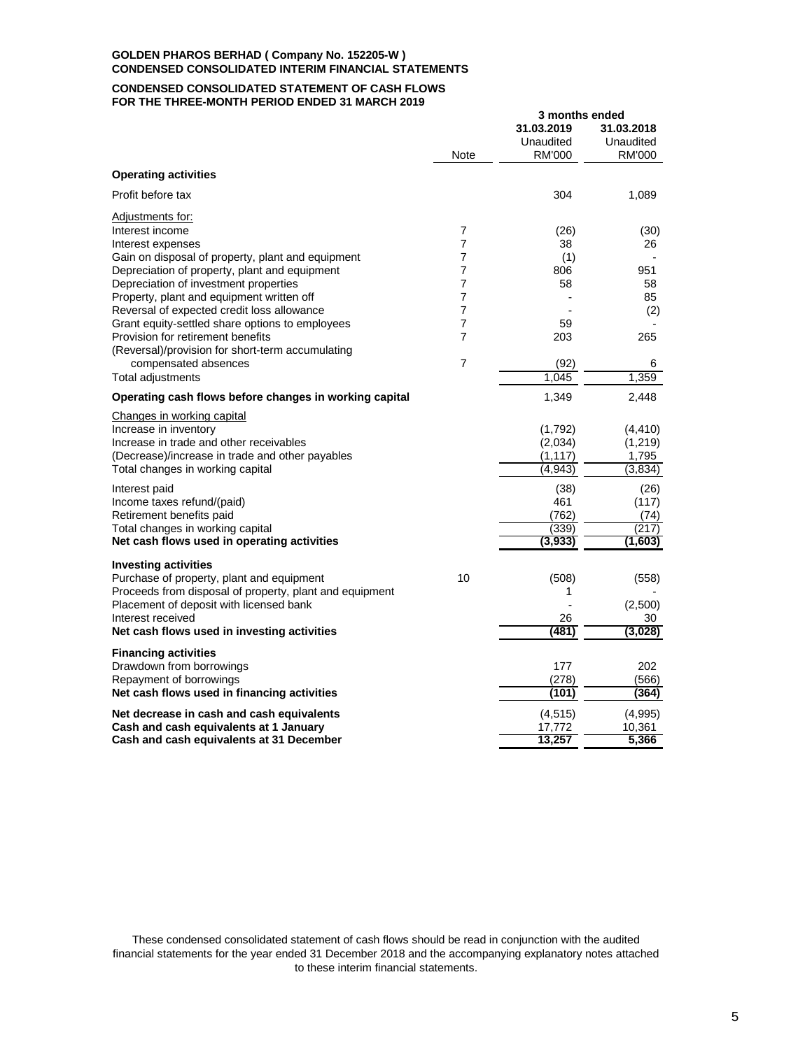#### **CONDENSED CONSOLIDATED STATEMENT OF CASH FLOWS FOR THE THREE-MONTH PERIOD ENDED 31 MARCH 2019**

|                                                         |                | 3 months ended<br>31.03.2019 | 31.03.2018          |
|---------------------------------------------------------|----------------|------------------------------|---------------------|
|                                                         | <b>Note</b>    | Unaudited<br>RM'000          | Unaudited<br>RM'000 |
| <b>Operating activities</b>                             |                |                              |                     |
| Profit before tax                                       |                | 304                          | 1,089               |
| Adjustments for:                                        |                |                              |                     |
| Interest income                                         | 7              | (26)                         | (30)                |
| Interest expenses                                       | $\overline{7}$ | 38                           | 26                  |
| Gain on disposal of property, plant and equipment       | 7              | (1)                          |                     |
| Depreciation of property, plant and equipment           | 7              | 806                          | 951                 |
| Depreciation of investment properties                   | 7              | 58                           | 58                  |
| Property, plant and equipment written off               | 7              |                              | 85                  |
| Reversal of expected credit loss allowance              | $\overline{7}$ |                              | (2)                 |
| Grant equity-settled share options to employees         | $\overline{7}$ | 59                           |                     |
| Provision for retirement benefits                       | 7              | 203                          | 265                 |
| (Reversal)/provision for short-term accumulating        |                |                              |                     |
| compensated absences                                    | $\overline{7}$ | (92)                         | 6                   |
| Total adjustments                                       |                | 1.045                        | 1,359               |
| Operating cash flows before changes in working capital  |                | 1,349                        | 2,448               |
| Changes in working capital                              |                |                              |                     |
| Increase in inventory                                   |                | (1,792)                      | (4, 410)            |
| Increase in trade and other receivables                 |                | (2,034)                      | (1, 219)            |
| (Decrease)/increase in trade and other payables         |                | (1, 117)                     | 1,795               |
| Total changes in working capital                        |                | (4,943)                      | (3,834)             |
| Interest paid                                           |                | (38)                         | (26)                |
| Income taxes refund/(paid)                              |                | 461                          | (117)               |
| Retirement benefits paid                                |                | (762)                        | (74)                |
| Total changes in working capital                        |                | (339)                        | (217)               |
| Net cash flows used in operating activities             |                | (3,933)                      | (1,603)             |
| <b>Investing activities</b>                             |                |                              |                     |
| Purchase of property, plant and equipment               | 10             | (508)                        | (558)               |
| Proceeds from disposal of property, plant and equipment |                | 1                            |                     |
| Placement of deposit with licensed bank                 |                |                              | (2,500)             |
| Interest received                                       |                | 26                           | 30                  |
| Net cash flows used in investing activities             |                | (481)                        | (3,028)             |
| <b>Financing activities</b>                             |                |                              |                     |
| Drawdown from borrowings                                |                | 177                          | 202                 |
| Repayment of borrowings                                 |                | (278)                        | (566)               |
| Net cash flows used in financing activities             |                | (101)                        | (364)               |
| Net decrease in cash and cash equivalents               |                | (4, 515)                     | (4,995)             |
| Cash and cash equivalents at 1 January                  |                | 17,772                       | 10,361              |
| Cash and cash equivalents at 31 December                |                | 13,257                       | 5,366               |

These condensed consolidated statement of cash flows should be read in conjunction with the audited financial statements for the year ended 31 December 2018 and the accompanying explanatory notes attached to these interim financial statements.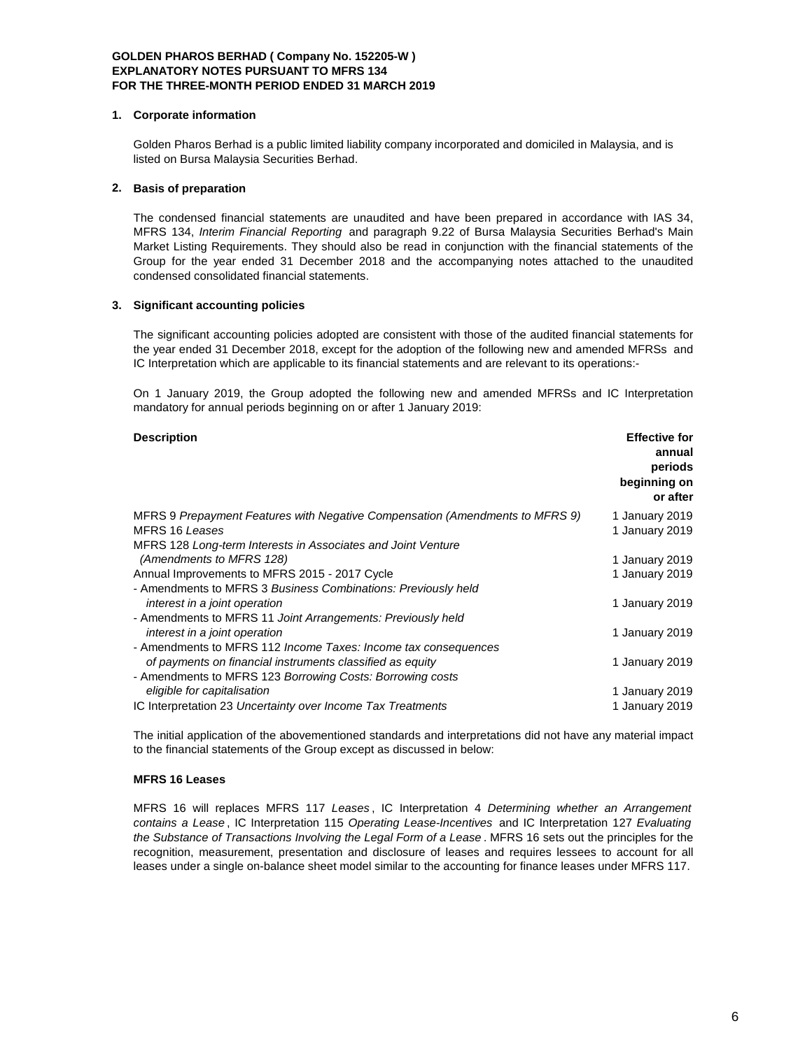#### **1. Corporate information**

Golden Pharos Berhad is a public limited liability company incorporated and domiciled in Malaysia, and is listed on Bursa Malaysia Securities Berhad.

# **2. Basis of preparation**

The condensed financial statements are unaudited and have been prepared in accordance with IAS 34, MFRS 134, *Interim Financial Reporting* and paragraph 9.22 of Bursa Malaysia Securities Berhad's Main Market Listing Requirements. They should also be read in conjunction with the financial statements of the Group for the year ended 31 December 2018 and the accompanying notes attached to the unaudited condensed consolidated financial statements.

#### **3. Significant accounting policies**

The significant accounting policies adopted are consistent with those of the audited financial statements for the year ended 31 December 2018, except for the adoption of the following new and amended MFRSs and IC Interpretation which are applicable to its financial statements and are relevant to its operations:-

On 1 January 2019, the Group adopted the following new and amended MFRSs and IC Interpretation mandatory for annual periods beginning on or after 1 January 2019:

| <b>Effective for</b><br>annual<br>periods<br>beginning on<br>or after |
|-----------------------------------------------------------------------|
| 1 January 2019                                                        |
| 1 January 2019                                                        |
|                                                                       |
| 1 January 2019                                                        |
| 1 January 2019                                                        |
|                                                                       |
| 1 January 2019                                                        |
|                                                                       |
| 1 January 2019                                                        |
|                                                                       |
| 1 January 2019                                                        |
|                                                                       |
| 1 January 2019                                                        |
| 1 January 2019                                                        |
|                                                                       |

The initial application of the abovementioned standards and interpretations did not have any material impact to the financial statements of the Group except as discussed in below:

# **MFRS 16 Leases**

MFRS 16 will replaces MFRS 117 *Leases* , IC Interpretation 4 *Determining whether an Arrangement contains a Lease* , IC Interpretation 115 *Operating Lease-Incentives* and IC Interpretation 127 *Evaluating the Substance of Transactions Involving the Legal Form of a Lease* . MFRS 16 sets out the principles for the recognition, measurement, presentation and disclosure of leases and requires lessees to account for all leases under a single on-balance sheet model similar to the accounting for finance leases under MFRS 117.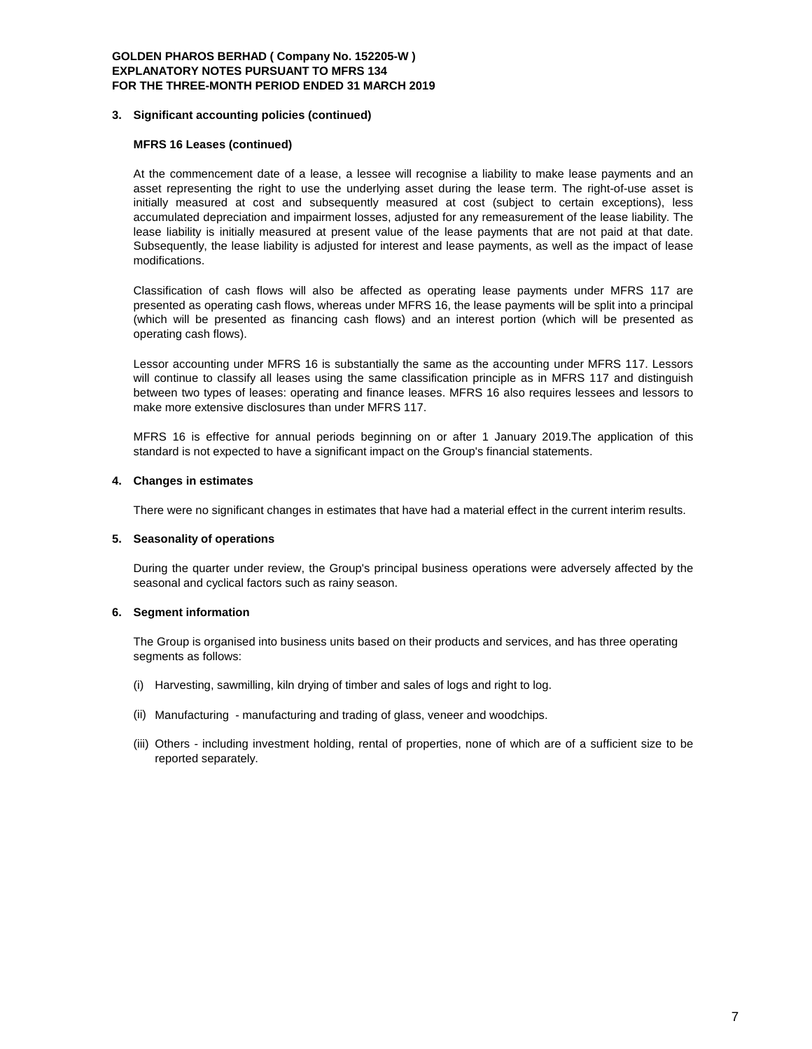#### **3. Significant accounting policies (continued)**

#### **MFRS 16 Leases (continued)**

At the commencement date of a lease, a lessee will recognise a liability to make lease payments and an asset representing the right to use the underlying asset during the lease term. The right-of-use asset is initially measured at cost and subsequently measured at cost (subject to certain exceptions), less accumulated depreciation and impairment losses, adjusted for any remeasurement of the lease liability. The lease liability is initially measured at present value of the lease payments that are not paid at that date. Subsequently, the lease liability is adjusted for interest and lease payments, as well as the impact of lease modifications.

Classification of cash flows will also be affected as operating lease payments under MFRS 117 are presented as operating cash flows, whereas under MFRS 16, the lease payments will be split into a principal (which will be presented as financing cash flows) and an interest portion (which will be presented as operating cash flows).

Lessor accounting under MFRS 16 is substantially the same as the accounting under MFRS 117. Lessors will continue to classify all leases using the same classification principle as in MFRS 117 and distinguish between two types of leases: operating and finance leases. MFRS 16 also requires lessees and lessors to make more extensive disclosures than under MFRS 117.

MFRS 16 is effective for annual periods beginning on or after 1 January 2019.The application of this standard is not expected to have a significant impact on the Group's financial statements.

#### **4. Changes in estimates**

There were no significant changes in estimates that have had a material effect in the current interim results.

# **5. Seasonality of operations**

During the quarter under review, the Group's principal business operations were adversely affected by the seasonal and cyclical factors such as rainy season.

# **6. Segment information**

The Group is organised into business units based on their products and services, and has three operating segments as follows:

- (i) Harvesting, sawmilling, kiln drying of timber and sales of logs and right to log.
- (ii) Manufacturing manufacturing and trading of glass, veneer and woodchips.
- (iii) Others including investment holding, rental of properties, none of which are of a sufficient size to be reported separately.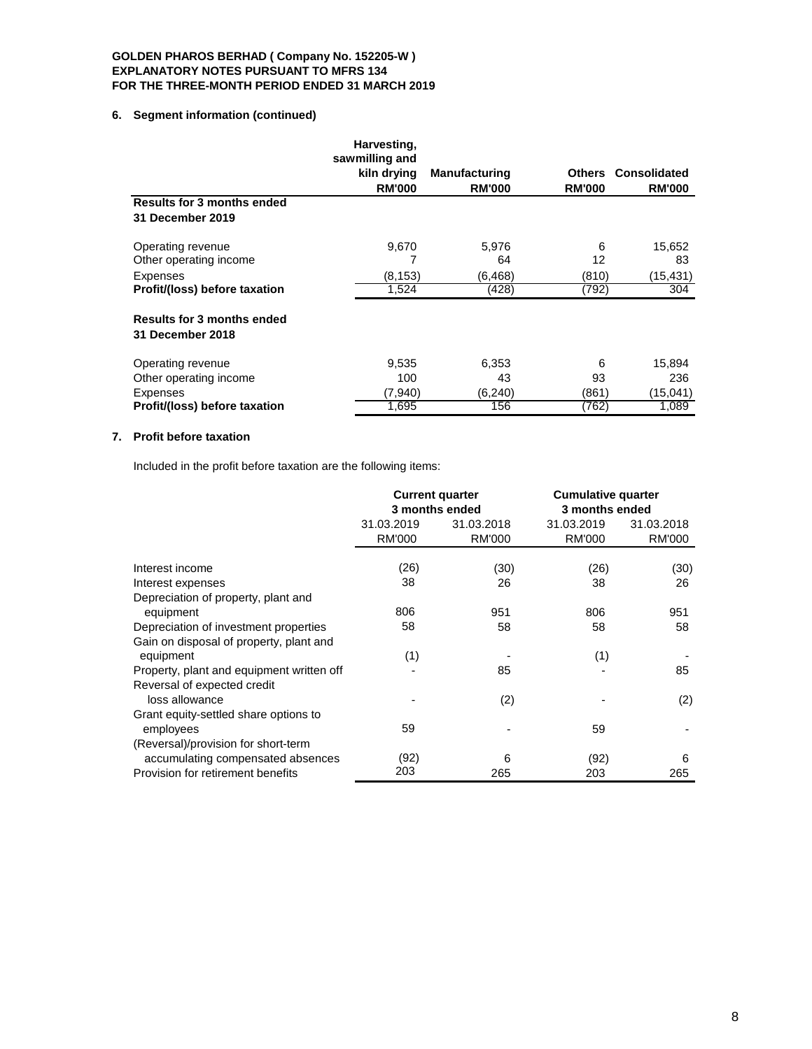# **6. Segment information (continued)**

|                                   | Harvesting,<br>sawmilling and |                      |               |               |
|-----------------------------------|-------------------------------|----------------------|---------------|---------------|
|                                   | kiln drying                   | <b>Manufacturing</b> | <b>Others</b> | Consolidated  |
|                                   | <b>RM'000</b>                 | <b>RM'000</b>        | <b>RM'000</b> | <b>RM'000</b> |
| <b>Results for 3 months ended</b> |                               |                      |               |               |
| 31 December 2019                  |                               |                      |               |               |
| Operating revenue                 | 9,670                         | 5,976                | 6             | 15,652        |
| Other operating income            |                               | 64                   | 12            | 83            |
| <b>Expenses</b>                   | (8, 153)                      | (6,468)              | (810)         | (15,431)      |
| Profit/(loss) before taxation     | 1,524                         | (428)                | (792)         | 304           |
| <b>Results for 3 months ended</b> |                               |                      |               |               |
| 31 December 2018                  |                               |                      |               |               |
| Operating revenue                 | 9,535                         | 6,353                | 6             | 15,894        |
| Other operating income            | 100                           | 43                   | 93            | 236           |
| <b>Expenses</b>                   | (7,940)                       | (6, 240)             | (861)         | (15,041)      |
| Profit/(loss) before taxation     | 1,695                         | 156                  | (762)         | 1,089         |

# **7. Profit before taxation**

Included in the profit before taxation are the following items:

|                                           | <b>Current quarter</b> |                | <b>Cumulative quarter</b> |               |
|-------------------------------------------|------------------------|----------------|---------------------------|---------------|
|                                           |                        | 3 months ended | 3 months ended            |               |
|                                           | 31.03.2019             | 31.03.2018     | 31.03.2019                | 31.03.2018    |
|                                           | <b>RM'000</b>          | <b>RM'000</b>  | <b>RM'000</b>             | <b>RM'000</b> |
|                                           |                        |                |                           |               |
| Interest income                           | (26)                   | (30)           | (26)                      | (30)          |
| Interest expenses                         | 38                     | 26             | 38                        | 26            |
| Depreciation of property, plant and       |                        |                |                           |               |
| equipment                                 | 806                    | 951            | 806                       | 951           |
| Depreciation of investment properties     | 58                     | 58             | 58                        | 58            |
| Gain on disposal of property, plant and   |                        |                |                           |               |
| equipment                                 | (1)                    |                | (1)                       |               |
| Property, plant and equipment written off |                        | 85             |                           | 85            |
| Reversal of expected credit               |                        |                |                           |               |
| loss allowance                            |                        | (2)            |                           | (2)           |
| Grant equity-settled share options to     |                        |                |                           |               |
| employees                                 | 59                     |                | 59                        |               |
| (Reversal)/provision for short-term       |                        |                |                           |               |
| accumulating compensated absences         | (92)                   | 6              | (92)                      | 6             |
| Provision for retirement benefits         | 203                    | 265            | 203                       | 265           |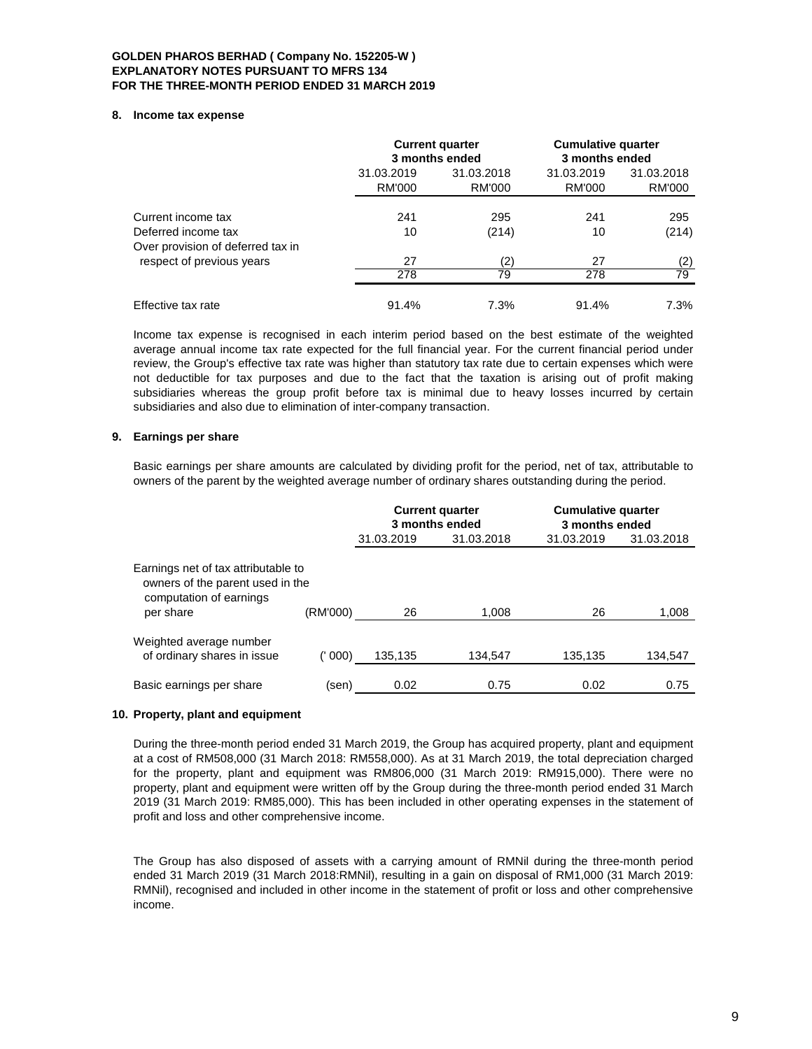#### **8. Income tax expense**

|                                                                |                      | <b>Current quarter</b><br>3 months ended |                      | <b>Cumulative quarter</b><br>3 months ended |
|----------------------------------------------------------------|----------------------|------------------------------------------|----------------------|---------------------------------------------|
|                                                                | 31.03.2019<br>RM'000 | 31.03.2018<br>RM'000                     | 31.03.2019<br>RM'000 | 31.03.2018<br>RM'000                        |
| Current income tax                                             | 241                  | 295                                      | 241                  | 295                                         |
| Deferred income tax                                            | 10                   | (214)                                    | 10                   | (214)                                       |
| Over provision of deferred tax in<br>respect of previous years | 27                   | (2)                                      | 27                   | (2)                                         |
|                                                                | 278                  | 79                                       | 278                  | 79                                          |
| Effective tax rate                                             | 91.4%                | 7.3%                                     | 91.4%                | 7.3%                                        |

Income tax expense is recognised in each interim period based on the best estimate of the weighted average annual income tax rate expected for the full financial year. For the current financial period under review, the Group's effective tax rate was higher than statutory tax rate due to certain expenses which were not deductible for tax purposes and due to the fact that the taxation is arising out of profit making subsidiaries whereas the group profit before tax is minimal due to heavy losses incurred by certain subsidiaries and also due to elimination of inter-company transaction.

# **9. Earnings per share**

Basic earnings per share amounts are calculated by dividing profit for the period, net of tax, attributable to owners of the parent by the weighted average number of ordinary shares outstanding during the period.

|                                                                                                                 |          |            | <b>Current quarter</b><br>3 months ended | <b>Cumulative quarter</b><br>3 months ended |            |  |
|-----------------------------------------------------------------------------------------------------------------|----------|------------|------------------------------------------|---------------------------------------------|------------|--|
|                                                                                                                 |          | 31.03.2019 | 31.03.2018                               | 31.03.2019                                  | 31.03.2018 |  |
| Earnings net of tax attributable to<br>owners of the parent used in the<br>computation of earnings<br>per share | (RM'000) | 26         | 1.008                                    | 26                                          | 1,008      |  |
| Weighted average number<br>of ordinary shares in issue                                                          | 000)     | 135,135    | 134.547                                  | 135,135                                     | 134,547    |  |
| Basic earnings per share                                                                                        | (sen)    | 0.02       | 0.75                                     | 0.02                                        | 0.75       |  |

# **10. Property, plant and equipment**

During the three-month period ended 31 March 2019, the Group has acquired property, plant and equipment at a cost of RM508,000 (31 March 2018: RM558,000). As at 31 March 2019, the total depreciation charged for the property, plant and equipment was RM806,000 (31 March 2019: RM915,000). There were no property, plant and equipment were written off by the Group during the three-month period ended 31 March 2019 (31 March 2019: RM85,000). This has been included in other operating expenses in the statement of profit and loss and other comprehensive income.

The Group has also disposed of assets with a carrying amount of RMNil during the three-month period ended 31 March 2019 (31 March 2018:RMNil), resulting in a gain on disposal of RM1,000 (31 March 2019: RMNil), recognised and included in other income in the statement of profit or loss and other comprehensive income.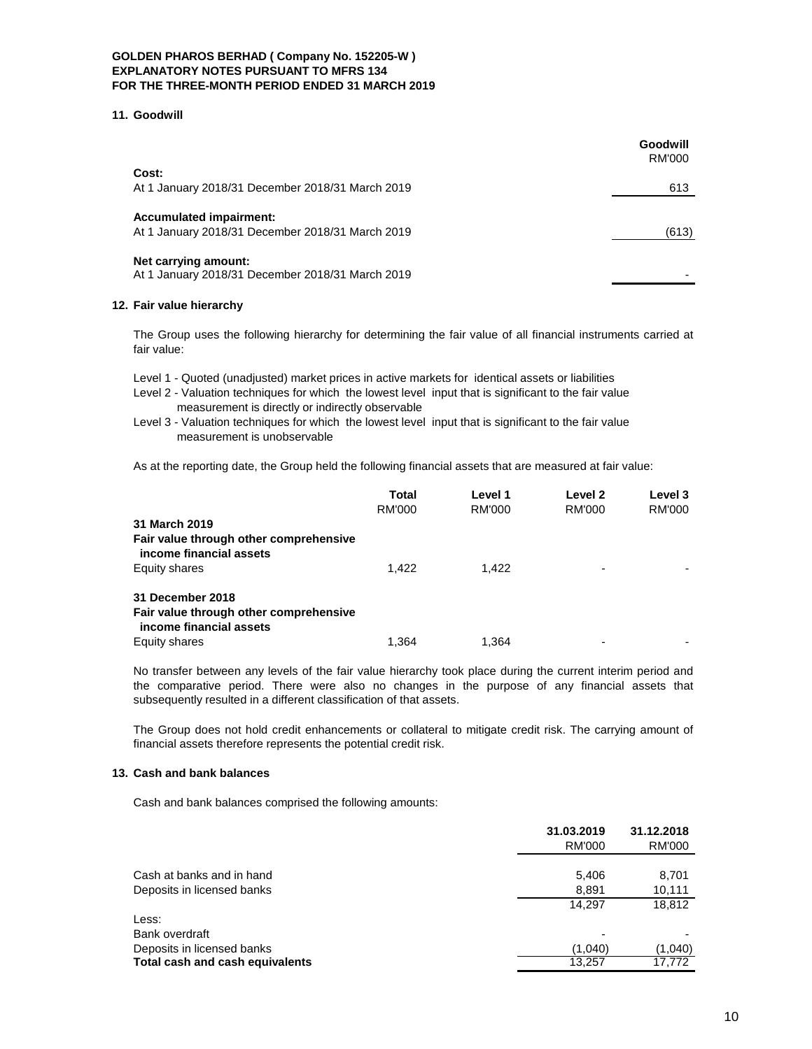#### **11. Goodwill**

|                                                                                    | Goodwill<br><b>RM'000</b> |
|------------------------------------------------------------------------------------|---------------------------|
| Cost:                                                                              |                           |
| At 1 January 2018/31 December 2018/31 March 2019                                   | 613                       |
| <b>Accumulated impairment:</b><br>At 1 January 2018/31 December 2018/31 March 2019 | (613)                     |
| Net carrying amount:<br>At 1 January 2018/31 December 2018/31 March 2019           |                           |

# **12. Fair value hierarchy**

The Group uses the following hierarchy for determining the fair value of all financial instruments carried at fair value:

Level 1 - Quoted (unadjusted) market prices in active markets for identical assets or liabilities

- Level 2 Valuation techniques for which the lowest level input that is significant to the fair value measurement is directly or indirectly observable
- Level 3 Valuation techniques for which the lowest level input that is significant to the fair value measurement is unobservable

As at the reporting date, the Group held the following financial assets that are measured at fair value:

|                                                                   | Total  | Level 1 | Level 2                  | Level 3 |
|-------------------------------------------------------------------|--------|---------|--------------------------|---------|
|                                                                   | RM'000 | RM'000  | RM'000                   | RM'000  |
| 31 March 2019                                                     |        |         |                          |         |
| Fair value through other comprehensive<br>income financial assets |        |         |                          |         |
| Equity shares                                                     | 1.422  | 1.422   | $\overline{\phantom{0}}$ |         |
| 31 December 2018                                                  |        |         |                          |         |
| Fair value through other comprehensive<br>income financial assets |        |         |                          |         |
| Equity shares                                                     | 1.364  | 1.364   | ٠                        |         |

No transfer between any levels of the fair value hierarchy took place during the current interim period and the comparative period. There were also no changes in the purpose of any financial assets that subsequently resulted in a different classification of that assets.

The Group does not hold credit enhancements or collateral to mitigate credit risk. The carrying amount of financial assets therefore represents the potential credit risk.

# **13. Cash and bank balances**

Cash and bank balances comprised the following amounts:

|                                 | 31.03.2019<br>RM'000 | 31.12.2018<br><b>RM'000</b> |
|---------------------------------|----------------------|-----------------------------|
| Cash at banks and in hand       | 5,406                | 8,701                       |
| Deposits in licensed banks      | 8,891                | 10,111                      |
|                                 | 14.297               | 18,812                      |
| Less:                           |                      |                             |
| Bank overdraft                  |                      |                             |
| Deposits in licensed banks      | (1,040)              | (1,040)                     |
| Total cash and cash equivalents | 13.257               | 17.772                      |
|                                 |                      |                             |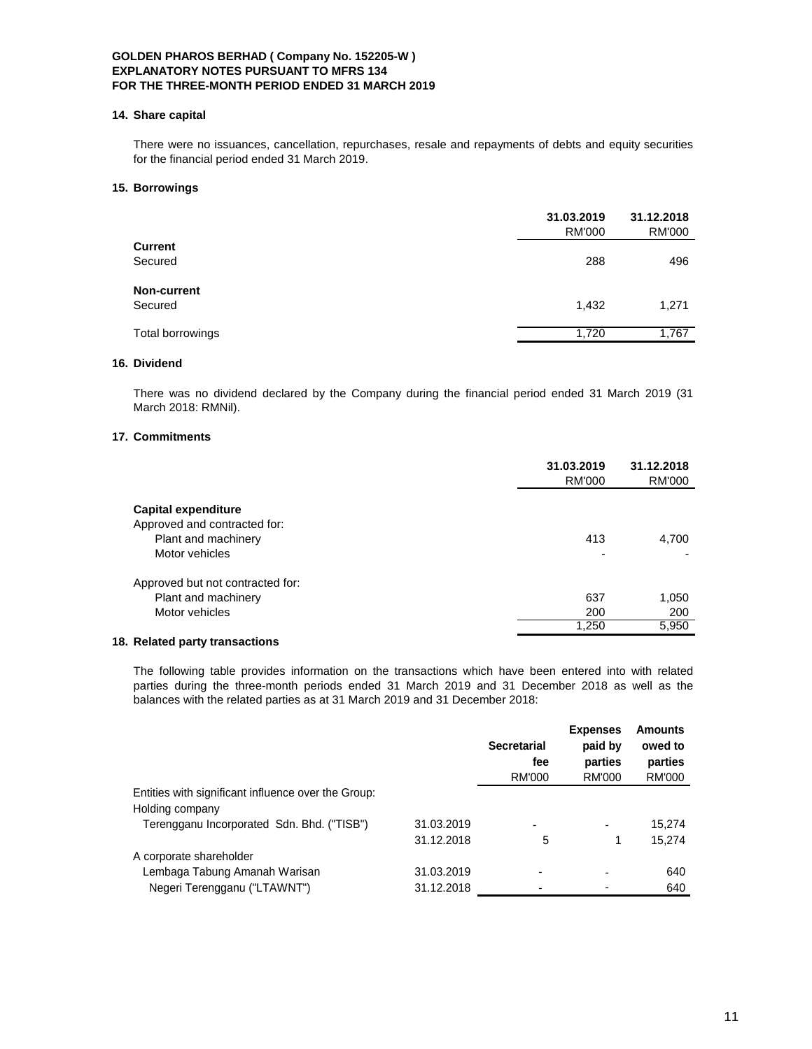#### **14. Share capital**

There were no issuances, cancellation, repurchases, resale and repayments of debts and equity securities for the financial period ended 31 March 2019.

#### **15. Borrowings**

|                  | 31.03.2019<br><b>RM'000</b> | 31.12.2018<br>RM'000 |
|------------------|-----------------------------|----------------------|
| <b>Current</b>   |                             |                      |
| Secured          | 288                         | 496                  |
| Non-current      |                             |                      |
| Secured          | 1,432                       | 1,271                |
| Total borrowings | 1,720                       | 1,767                |
|                  |                             |                      |

# **16. Dividend**

There was no dividend declared by the Company during the financial period ended 31 March 2019 (31 March 2018: RMNil).

# **17. Commitments**

|                                                                                              | 31.03.2019<br><b>RM'000</b>     | 31.12.2018<br><b>RM'000</b> |
|----------------------------------------------------------------------------------------------|---------------------------------|-----------------------------|
| Capital expenditure<br>Approved and contracted for:<br>Plant and machinery<br>Motor vehicles | 413<br>$\overline{\phantom{0}}$ | 4,700                       |
| Approved but not contracted for:<br>Plant and machinery<br>Motor vehicles                    | 637<br>200<br>1,250             | 1,050<br>200<br>5,950       |

# **18. Related party transactions**

The following table provides information on the transactions which have been entered into with related parties during the three-month periods ended 31 March 2019 and 31 December 2018 as well as the balances with the related parties as at 31 March 2019 and 31 December 2018:

|                                                                        |            | <b>Secretarial</b><br>fee<br>RM'000 | <b>Expenses</b><br>paid by<br>parties<br>RM'000 | <b>Amounts</b><br>owed to<br>parties<br>RM'000 |
|------------------------------------------------------------------------|------------|-------------------------------------|-------------------------------------------------|------------------------------------------------|
| Entities with significant influence over the Group:<br>Holding company |            |                                     |                                                 |                                                |
| Terengganu Incorporated Sdn. Bhd. ("TISB")                             | 31.03.2019 |                                     | ۰                                               | 15.274                                         |
|                                                                        | 31.12.2018 | 5                                   |                                                 | 15,274                                         |
| A corporate shareholder                                                |            |                                     |                                                 |                                                |
| Lembaga Tabung Amanah Warisan                                          | 31.03.2019 |                                     |                                                 | 640                                            |
| Negeri Terengganu ("LTAWNT")                                           | 31.12.2018 |                                     |                                                 | 640                                            |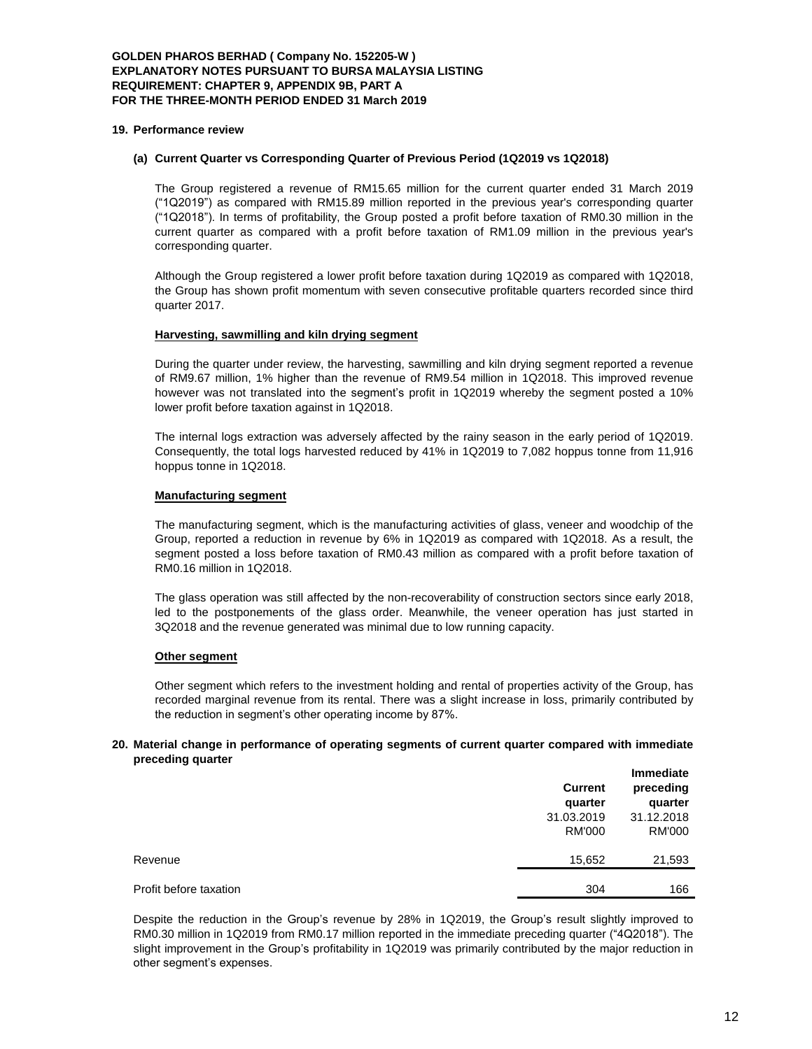#### **GOLDEN PHAROS BERHAD ( Company No. 152205-W ) EXPLANATORY NOTES PURSUANT TO BURSA MALAYSIA LISTING REQUIREMENT: CHAPTER 9, APPENDIX 9B, PART A FOR THE THREE-MONTH PERIOD ENDED 31 March 2019**

#### **19. Performance review**

# **(a) Current Quarter vs Corresponding Quarter of Previous Period (1Q2019 vs 1Q2018)**

The Group registered a revenue of RM15.65 million for the current quarter ended 31 March 2019 ("1Q2019") as compared with RM15.89 million reported in the previous year's corresponding quarter ("1Q2018"). In terms of profitability, the Group posted a profit before taxation of RM0.30 million in the current quarter as compared with a profit before taxation of RM1.09 million in the previous year's corresponding quarter.

Although the Group registered a lower profit before taxation during 1Q2019 as compared with 1Q2018, the Group has shown profit momentum with seven consecutive profitable quarters recorded since third quarter 2017.

#### **Harvesting, sawmilling and kiln drying segment**

During the quarter under review, the harvesting, sawmilling and kiln drying segment reported a revenue of RM9.67 million, 1% higher than the revenue of RM9.54 million in 1Q2018. This improved revenue however was not translated into the segment's profit in 1Q2019 whereby the segment posted a 10% lower profit before taxation against in 1Q2018.

The internal logs extraction was adversely affected by the rainy season in the early period of 1Q2019. Consequently, the total logs harvested reduced by 41% in 1Q2019 to 7,082 hoppus tonne from 11,916 hoppus tonne in 1Q2018.

#### **Manufacturing segment**

The manufacturing segment, which is the manufacturing activities of glass, veneer and woodchip of the Group, reported a reduction in revenue by 6% in 1Q2019 as compared with 1Q2018. As a result, the segment posted a loss before taxation of RM0.43 million as compared with a profit before taxation of RM0.16 million in 1Q2018.

The glass operation was still affected by the non-recoverability of construction sectors since early 2018, led to the postponements of the glass order. Meanwhile, the veneer operation has just started in 3Q2018 and the revenue generated was minimal due to low running capacity.

#### **Other segment**

Other segment which refers to the investment holding and rental of properties activity of the Group, has recorded marginal revenue from its rental. There was a slight increase in loss, primarily contributed by the reduction in segment's other operating income by 87%.

#### **20. Material change in performance of operating segments of current quarter compared with immediate preceding quarter**

|                        | <b>Current</b><br>quarter | <b>Immediate</b><br>preceding<br>quarter |  |
|------------------------|---------------------------|------------------------------------------|--|
|                        | 31.03.2019                | 31.12.2018                               |  |
|                        | <b>RM'000</b>             | RM'000                                   |  |
| Revenue                | 15,652                    | 21,593                                   |  |
| Profit before taxation | 304                       | 166                                      |  |

Despite the reduction in the Group's revenue by 28% in 1Q2019, the Group's result slightly improved to RM0.30 million in 1Q2019 from RM0.17 million reported in the immediate preceding quarter ("4Q2018"). The slight improvement in the Group's profitability in 1Q2019 was primarily contributed by the major reduction in other segment's expenses.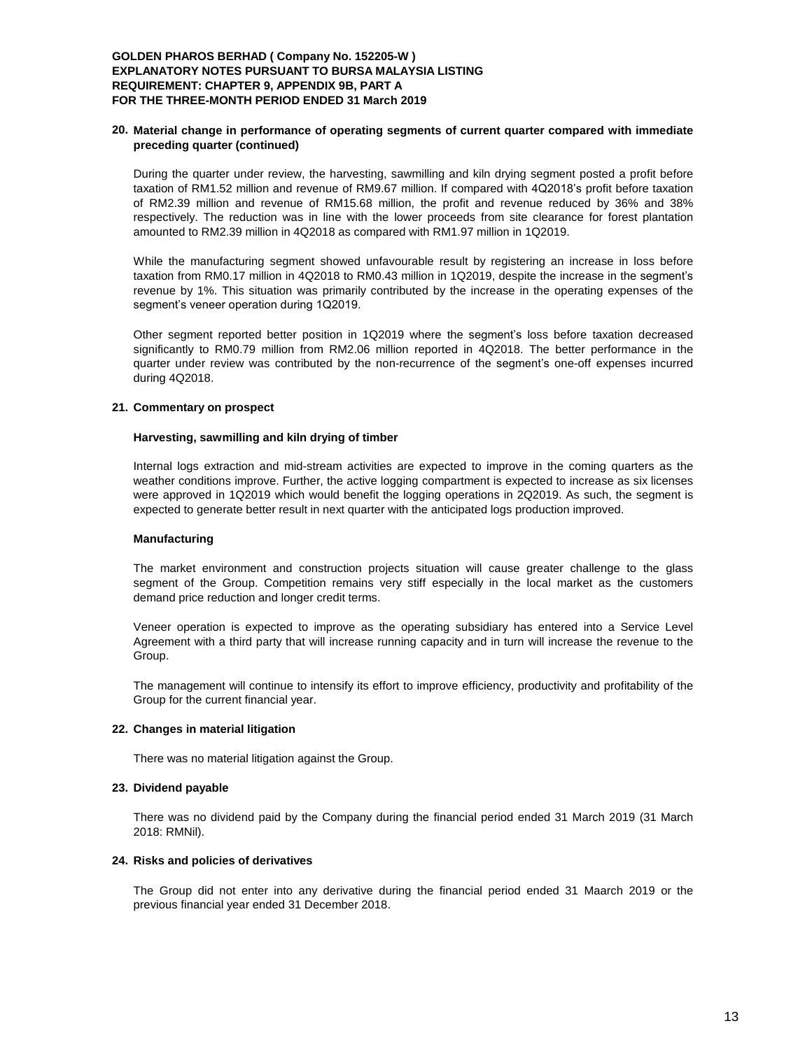# **GOLDEN PHAROS BERHAD ( Company No. 152205-W ) EXPLANATORY NOTES PURSUANT TO BURSA MALAYSIA LISTING REQUIREMENT: CHAPTER 9, APPENDIX 9B, PART A FOR THE THREE-MONTH PERIOD ENDED 31 March 2019**

#### **20. Material change in performance of operating segments of current quarter compared with immediate preceding quarter (continued)**

During the quarter under review, the harvesting, sawmilling and kiln drying segment posted a profit before taxation of RM1.52 million and revenue of RM9.67 million. If compared with 4Q2018's profit before taxation of RM2.39 million and revenue of RM15.68 million, the profit and revenue reduced by 36% and 38% respectively. The reduction was in line with the lower proceeds from site clearance for forest plantation amounted to RM2.39 million in 4Q2018 as compared with RM1.97 million in 1Q2019.

While the manufacturing segment showed unfavourable result by registering an increase in loss before taxation from RM0.17 million in 4Q2018 to RM0.43 million in 1Q2019, despite the increase in the segment's revenue by 1%. This situation was primarily contributed by the increase in the operating expenses of the segment's veneer operation during 1Q2019.

Other segment reported better position in 1Q2019 where the segment's loss before taxation decreased significantly to RM0.79 million from RM2.06 million reported in 4Q2018. The better performance in the quarter under review was contributed by the non-recurrence of the segment's one-off expenses incurred during 4Q2018.

# **21. Commentary on prospect**

#### **Harvesting, sawmilling and kiln drying of timber**

Internal logs extraction and mid-stream activities are expected to improve in the coming quarters as the weather conditions improve. Further, the active logging compartment is expected to increase as six licenses were approved in 1Q2019 which would benefit the logging operations in 2Q2019. As such, the segment is expected to generate better result in next quarter with the anticipated logs production improved.

# **Manufacturing**

The market environment and construction projects situation will cause greater challenge to the glass segment of the Group. Competition remains very stiff especially in the local market as the customers demand price reduction and longer credit terms.

Veneer operation is expected to improve as the operating subsidiary has entered into a Service Level Agreement with a third party that will increase running capacity and in turn will increase the revenue to the Group.

The management will continue to intensify its effort to improve efficiency, productivity and profitability of the Group for the current financial year.

# **22. Changes in material litigation**

There was no material litigation against the Group.

#### **23. Dividend payable**

There was no dividend paid by the Company during the financial period ended 31 March 2019 (31 March 2018: RMNil).

#### **24. Risks and policies of derivatives**

The Group did not enter into any derivative during the financial period ended 31 Maarch 2019 or the previous financial year ended 31 December 2018.